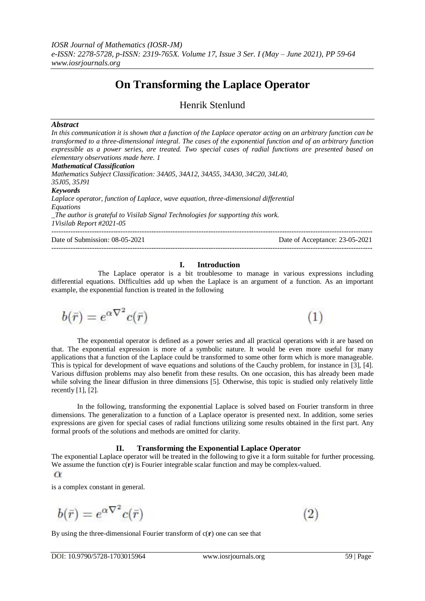# **On Transforming the Laplace Operator**

Henrik Stenlund

# *Abstract*

*In this communication it is shown that a function of the Laplace operator acting on an arbitrary function can be transformed to a three-dimensional integral. The cases of the exponential function and of an arbitrary function expressible as a power series, are treated. Two special cases of radial functions are presented based on elementary observations made here. 1*

*Mathematical Classification*

*Mathematics Subject Classification: 34A05, 34A12, 34A55, 34A30, 34C20, 34L40, 35J05, 35J91 Keywords Laplace operator, function of Laplace, wave equation, three-dimensional differential Equations \_The author is grateful to Visilab Signal Technologies for supporting this work. 1Visilab Report #2021-05*

Date of Submission: 08-05-2021 Date of Acceptance: 23-05-2021

---------------------------------------------------------------------------------------------------------------------------------------

---------------------------------------------------------------------------------------------------------------------------------------

 $(1)$ 

 $\overline{2}$ 

# **I. Introduction**

The Laplace operator is a bit troublesome to manage in various expressions including differential equations. Difficulties add up when the Laplace is an argument of a function. As an important example, the exponential function is treated in the following

$$
b(\bar{r})=e^{\alpha \nabla^2}c(\bar{r})
$$

The exponential operator is defined as a power series and all practical operations with it are based on that. The exponential expression is more of a symbolic nature. It would be even more useful for many applications that a function of the Laplace could be transformed to some other form which is more manageable. This is typical for development of wave equations and solutions of the Cauchy problem, for instance in [3], [4]. Various diffusion problems may also benefit from these results. On one occasion, this has already been made while solving the linear diffusion in three dimensions [5]. Otherwise, this topic is studied only relatively little recently  $[1]$ ,  $[2]$ .

In the following, transforming the exponential Laplace is solved based on Fourier transform in three dimensions. The generalization to a function of a Laplace operator is presented next. In addition, some series expressions are given for special cases of radial functions utilizing some results obtained in the first part. Any formal proofs of the solutions and methods are omitted for clarity.

# **II. Transforming the Exponential Laplace Operator**

The exponential Laplace operator will be treated in the following to give it a form suitable for further processing. We assume the function  $c(\mathbf{r})$  is Fourier integrable scalar function and may be complex-valued.  $\alpha$ 

is a complex constant in general.

$$
b(\bar{r}) = e^{\alpha \nabla^2} c(\bar{r})
$$

By using the three-dimensional Fourier transform of c(**r**) one can see that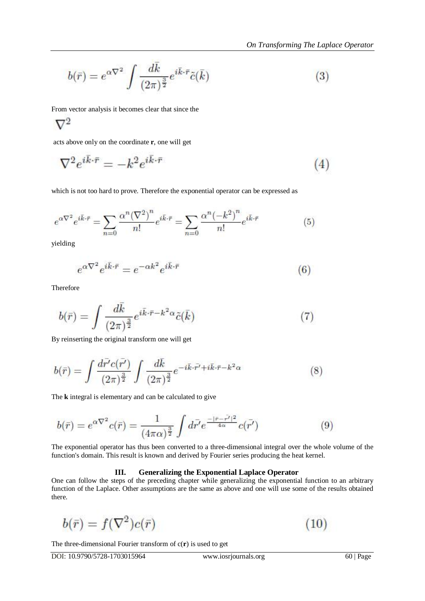$$
b(\bar{r}) = e^{\alpha \nabla^2} \int \frac{d\bar{k}}{(2\pi)^{\frac{3}{2}}} e^{i\bar{k}\cdot\bar{r}} \tilde{c}(\bar{k}) \tag{3}
$$

From vector analysis it becomes clear that since the

$$
\nabla^2
$$

acts above only on the coordinate **r**, one will get

$$
\nabla^2 e^{i\bar{k}\cdot\bar{r}} = -k^2 e^{i\bar{k}\cdot\bar{r}} \tag{4}
$$

which is not too hard to prove. Therefore the exponential operator can be expressed as

$$
e^{\alpha \nabla^2} e^{i\bar{k}\cdot\bar{r}} = \sum_{n=0}^{\infty} \frac{\alpha^n (\nabla^2)^n}{n!} e^{i\bar{k}\cdot\bar{r}} = \sum_{n=0}^{\infty} \frac{\alpha^n (-k^2)^n}{n!} e^{i\bar{k}\cdot\bar{r}}
$$
(5)

yielding

$$
e^{\alpha \nabla^2} e^{i\vec{k}\cdot\vec{r}} = e^{-\alpha k^2} e^{i\vec{k}\cdot\vec{r}} \tag{6}
$$

Therefore

$$
b(\bar{r}) = \int \frac{d\bar{k}}{(2\pi)^{\frac{3}{2}}} e^{i\bar{k}\cdot\bar{r} - k^2\alpha} \tilde{c}(\bar{k}) \tag{7}
$$

By reinserting the original transform one will get

$$
b(\bar{r}) = \int \frac{d\bar{r'}c(\bar{r'})}{(2\pi)^{\frac{3}{2}}} \int \frac{d\bar{k}}{(2\pi)^{\frac{3}{2}}} e^{-i\bar{k}\cdot\bar{r'} + i\bar{k}\cdot\bar{r} - k^2\alpha}
$$
(8)

The **k** integral is elementary and can be calculated to give

$$
b(\bar{r}) = e^{\alpha \nabla^2} c(\bar{r}) = \frac{1}{(4\pi\alpha)^{\frac{3}{2}}} \int d\bar{r'} e^{\frac{-|\bar{r}-\bar{r'}|^2}{4\alpha}} c(\bar{r'})
$$
(9)

The exponential operator has thus been converted to a three-dimensional integral over the whole volume of the function's domain. This result is known and derived by Fourier series producing the heat kernel.

# **III. Generalizing the Exponential Laplace Operator**

One can follow the steps of the preceding chapter while generalizing the exponential function to an arbitrary function of the Laplace. Other assumptions are the same as above and one will use some of the results obtained there.

$$
b(\bar{r})=f(\nabla^2)c(\bar{r})
$$

The three-dimensional Fourier transform of  $c(\mathbf{r})$  is used to get

 $(10)$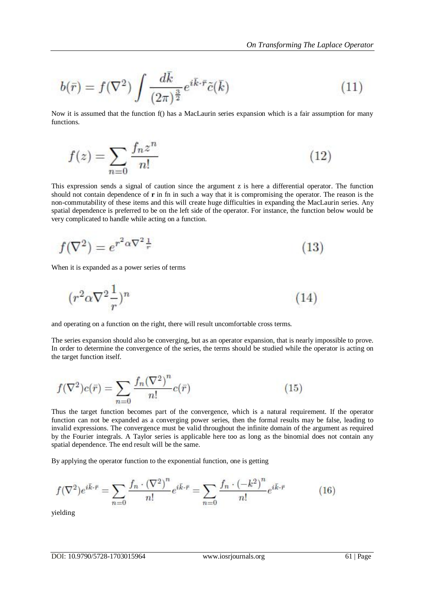$$
b(\bar{r}) = f(\nabla^2) \int \frac{d\bar{k}}{(2\pi)^{\frac{3}{2}}} e^{i\bar{k}\cdot\bar{r}} \tilde{c}(\bar{k}) \tag{11}
$$

Now it is assumed that the function f() has a MacLaurin series expansion which is a fair assumption for many functions.

$$
f(z) = \sum_{n=0}^{\infty} \frac{f_n z^n}{n!}
$$
 (12)

This expression sends a signal of caution since the argument z is here a differential operator. The function should not contain dependence of **r** in fn in such a way that it is compromising the operator. The reason is the non-commutability of these items and this will create huge difficulties in expanding the MacLaurin series. Any spatial dependence is preferred to be on the left side of the operator. For instance, the function below would be very complicated to handle while acting on a function.

$$
f(\nabla^2) = e^{r^2 \alpha \nabla^2 \frac{1}{r}} \tag{13}
$$

When it is expanded as a power series of terms

$$
(r^2 \alpha \nabla^2 \frac{1}{r})^n \tag{14}
$$

and operating on a function on the right, there will result uncomfortable cross terms.

The series expansion should also be converging, but as an operator expansion, that is nearly impossible to prove. In order to determine the convergence of the series, the terms should be studied while the operator is acting on the target function itself.

$$
f(\nabla^2)c(\bar{r}) = \sum_{n=0} \frac{f_n(\nabla^2)^n}{n!}c(\bar{r})
$$
\n(15)

Thus the target function becomes part of the convergence, which is a natural requirement. If the operator function can not be expanded as a converging power series, then the formal results may be false, leading to invalid expressions. The convergence must be valid throughout the infinite domain of the argument as required by the Fourier integrals. A Taylor series is applicable here too as long as the binomial does not contain any spatial dependence. The end result will be the same.

By applying the operator function to the exponential function, one is getting

$$
f(\nabla^2)e^{i\bar{k}\cdot\bar{r}} = \sum_{n=0} \frac{f_n \cdot (\nabla^2)^n}{n!} e^{i\bar{k}\cdot\bar{r}} = \sum_{n=0} \frac{f_n \cdot (-k^2)^n}{n!} e^{i\bar{k}\cdot\bar{r}}
$$
(16)

yielding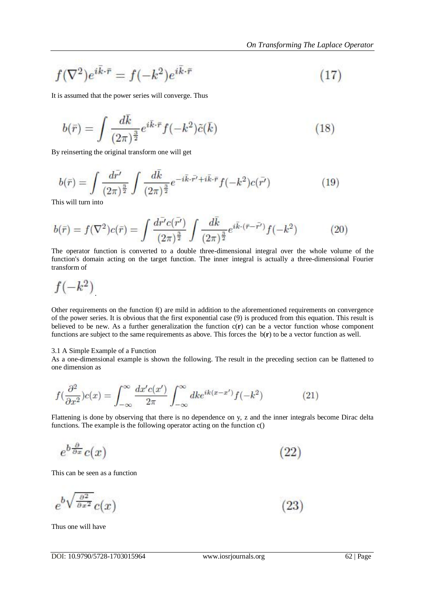$$
f(\nabla^2)e^{i\vec{k}\cdot\vec{r}} = f(-k^2)e^{i\vec{k}\cdot\vec{r}} \tag{17}
$$

It is assumed that the power series will converge. Thus

$$
b(\bar{r}) = \int \frac{d\bar{k}}{(2\pi)^{\frac{3}{2}}} e^{i\bar{k}\cdot\bar{r}} f(-k^2)\tilde{c}(\bar{k}) \tag{18}
$$

By reinserting the original transform one will get

$$
b(\bar{r}) = \int \frac{d\bar{r'}}{(2\pi)^{\frac{3}{2}}} \int \frac{d\bar{k}}{(2\pi)^{\frac{3}{2}}} e^{-i\bar{k}\cdot\bar{r'} + i\bar{k}\cdot\bar{r}} f(-k^2)c(\bar{r'})
$$
(19)

This will turn into

$$
b(\bar{r}) = f(\nabla^2)c(\bar{r}) = \int \frac{d\bar{r}'c(\bar{r}')}{(2\pi)^{\frac{3}{2}}} \int \frac{d\bar{k}}{(2\pi)^{\frac{3}{2}}} e^{i\bar{k}\cdot(\bar{r}-\bar{r}')} f(-k^2)
$$
(20)

The operator function is converted to a double three-dimensional integral over the whole volume of the function's domain acting on the target function. The inner integral is actually a three-dimensional Fourier transform of

$$
f(-k^2)
$$

Other requirements on the function f() are mild in addition to the aforementioned requirements on convergence of the power series. It is obvious that the first exponential case (9) is produced from this equation. This result is believed to be new. As a further generalization the function c(**r**) can be a vector function whose component functions are subject to the same requirements as above. This forces the b(**r**) to be a vector function as well.

# 3.1 A Simple Example of a Function

As a one-dimensional example is shown the following. The result in the preceding section can be flattened to one dimension as

$$
f(\frac{\partial^2}{\partial x^2})c(x) = \int_{-\infty}^{\infty} \frac{dx'c(x')}{2\pi} \int_{-\infty}^{\infty} dk e^{ik(x-x')} f(-k^2)
$$
 (21)

Flattening is done by observing that there is no dependence on y, z and the inner integrals become Dirac delta functions. The example is the following operator acting on the function c()

$$
e^{b\frac{\partial}{\partial x}}c(x) \tag{22}
$$

This can be seen as a function

$$
e^{b\sqrt{\frac{\partial^2}{\partial x^2}}}c(x) \tag{23}
$$

Thus one will have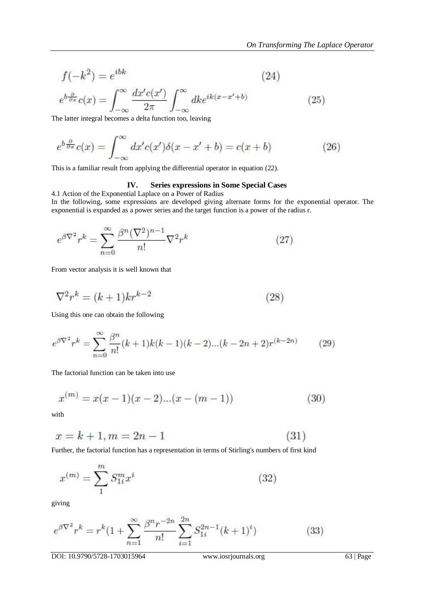$$
f(-k^2) = e^{ibk} \tag{24}
$$

$$
e^{b\frac{\partial}{\partial x}}c(x) = \int_{-\infty}^{\infty} \frac{dx'c(x')}{2\pi} \int_{-\infty}^{\infty} dk e^{ik(x-x'+b)}
$$
(25)

The latter integral becomes a delta function too, leaving

$$
e^{b\frac{\partial}{\partial x}}c(x) = \int_{-\infty}^{\infty} dx' c(x')\delta(x - x' + b) = c(x + b)
$$
 (26)

This is a familiar result from applying the differential operator in equation (22).

# **IV. Series expressions in Some Special Cases**

4.1 Action of the Exponential Laplace on a Power of Radius

In the following, some expressions are developed giving alternate forms for the exponential operator. The exponential is expanded as a power series and the target function is a power of the radius r.

$$
e^{\beta \nabla^2} r^k = \sum_{n=0}^{\infty} \frac{\beta^n (\nabla^2)^{n-1}}{n!} \nabla^2 r^k \tag{27}
$$

From vector analysis it is well known that

$$
\nabla^2 r^k = (k+1)kr^{k-2} \tag{28}
$$

Using this one can obtain the following

$$
e^{\beta \nabla^2 r^k} = \sum_{n=0}^{\infty} \frac{\beta^n}{n!} (k+1)k(k-1)(k-2)...(k-2n+2)r^{(k-2n)} \tag{29}
$$

The factorial function can be taken into use

$$
x^{(m)} = x(x-1)(x-2)...(x-(m-1))
$$
\n(30)

with

$$
x = k + 1, m = 2n - 1 \tag{31}
$$

Further, the factorial function has a representation in terms of Stirling's numbers of first kind

$$
x^{(m)} = \sum_{1}^{m} S_{1i}^{m} x^{i}
$$
 (32)

giving

$$
e^{\beta \nabla^2} r^k = r^k (1 + \sum_{n=1}^{\infty} \frac{\beta^n r^{-2n}}{n!} \sum_{i=1}^{2n} S_{1i}^{2n-1} (k+1)^i)
$$
 (33)

DOI: 10.9790/5728-1703015964 www.iosrjournals.org 63 | Page